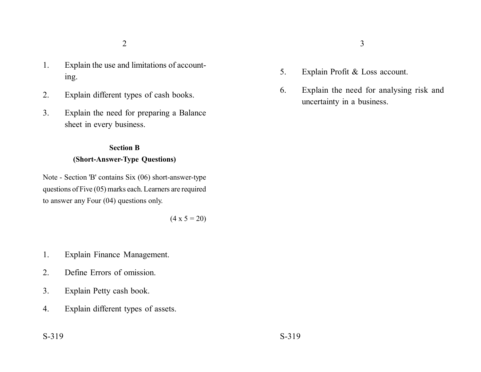- 1. Explain the use and limitations of accounting.
- 2. Explain different types of cash books.
- 3. Explain the need for preparing a Balance sheet in every business.

### **Section B**

# **(Short-Answer-Type Questions)**

Note - Section 'B' contains Six (06) short-answer-type questions of Five (05) marks each. Learners are required to answer any Four (04) questions only.

$$
(4 \times 5 = 20)
$$

- 1. Explain Finance Management.
- 2. Define Errors of omission.
- 3. Explain Petty cash book.
- 4. Explain different types of assets.
- 
- 5. Explain Profit & Loss account.
- 6. Explain the need for analysing risk and uncertainty in a business.